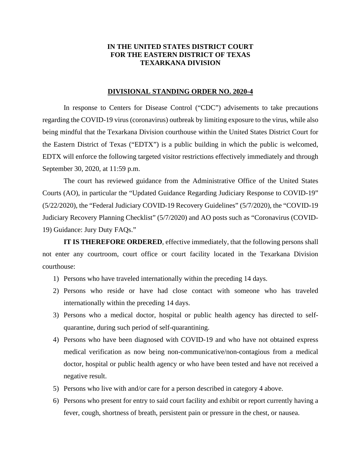## **IN THE UNITED STATES DISTRICT COURT FOR THE EASTERN DISTRICT OF TEXAS TEXARKANA DIVISION**

## **DIVISIONAL STANDING ORDER NO. 2020-4**

In response to Centers for Disease Control ("CDC") advisements to take precautions regarding the COVID-19 virus (coronavirus) outbreak by limiting exposure to the virus, while also being mindful that the Texarkana Division courthouse within the United States District Court for the Eastern District of Texas ("EDTX") is a public building in which the public is welcomed, EDTX will enforce the following targeted visitor restrictions effectively immediately and through September 30, 2020, at 11:59 p.m.

The court has reviewed guidance from the Administrative Office of the United States Courts (AO), in particular the "Updated Guidance Regarding Judiciary Response to COVID-19" (5/22/2020), the "Federal Judiciary COVID-19 Recovery Guidelines" (5/7/2020), the "COVID-19 Judiciary Recovery Planning Checklist" (5/7/2020) and AO posts such as "Coronavirus (COVID-19) Guidance: Jury Duty FAQs."

**IT IS THEREFORE ORDERED**, effective immediately, that the following persons shall not enter any courtroom, court office or court facility located in the Texarkana Division courthouse:

- 1) Persons who have traveled internationally within the preceding 14 days.
- 2) Persons who reside or have had close contact with someone who has traveled internationally within the preceding 14 days.
- 3) Persons who a medical doctor, hospital or public health agency has directed to selfquarantine, during such period of self-quarantining.
- 4) Persons who have been diagnosed with COVID-19 and who have not obtained express medical verification as now being non-communicative/non-contagious from a medical doctor, hospital or public health agency or who have been tested and have not received a negative result.
- 5) Persons who live with and/or care for a person described in category 4 above.
- 6) Persons who present for entry to said court facility and exhibit or report currently having a fever, cough, shortness of breath, persistent pain or pressure in the chest, or nausea.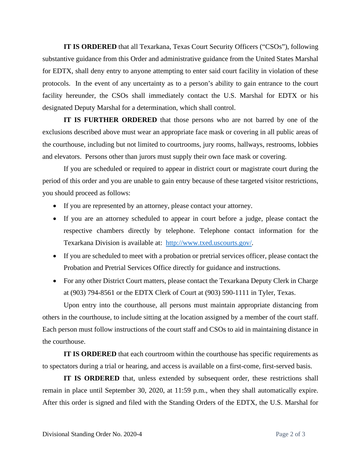**IT IS ORDERED** that all Texarkana, Texas Court Security Officers ("CSOs"), following substantive guidance from this Order and administrative guidance from the United States Marshal for EDTX, shall deny entry to anyone attempting to enter said court facility in violation of these protocols. In the event of any uncertainty as to a person's ability to gain entrance to the court facility hereunder, the CSOs shall immediately contact the U.S. Marshal for EDTX or his designated Deputy Marshal for a determination, which shall control.

**IT IS FURTHER ORDERED** that those persons who are not barred by one of the exclusions described above must wear an appropriate face mask or covering in all public areas of the courthouse, including but not limited to courtrooms, jury rooms, hallways, restrooms, lobbies and elevators. Persons other than jurors must supply their own face mask or covering.

If you are scheduled or required to appear in district court or magistrate court during the period of this order and you are unable to gain entry because of these targeted visitor restrictions, you should proceed as follows:

- If you are represented by an attorney, please contact your attorney.
- If you are an attorney scheduled to appear in court before a judge, please contact the respective chambers directly by telephone. Telephone contact information for the Texarkana Division is available at: http://www.txed.uscourts.gov/.
- If you are scheduled to meet with a probation or pretrial services officer, please contact the Probation and Pretrial Services Office directly for guidance and instructions.
- For any other District Court matters, please contact the Texarkana Deputy Clerk in Charge at (903) 794-8561 or the EDTX Clerk of Court at (903) 590-1111 in Tyler, Texas.

Upon entry into the courthouse, all persons must maintain appropriate distancing from others in the courthouse, to include sitting at the location assigned by a member of the court staff. Each person must follow instructions of the court staff and CSOs to aid in maintaining distance in the courthouse.

**IT IS ORDERED** that each courtroom within the courthouse has specific requirements as to spectators during a trial or hearing, and access is available on a first-come, first-served basis.

**IT IS ORDERED** that, unless extended by subsequent order, these restrictions shall remain in place until September 30, 2020, at 11:59 p.m., when they shall automatically expire. After this order is signed and filed with the Standing Orders of the EDTX, the U.S. Marshal for